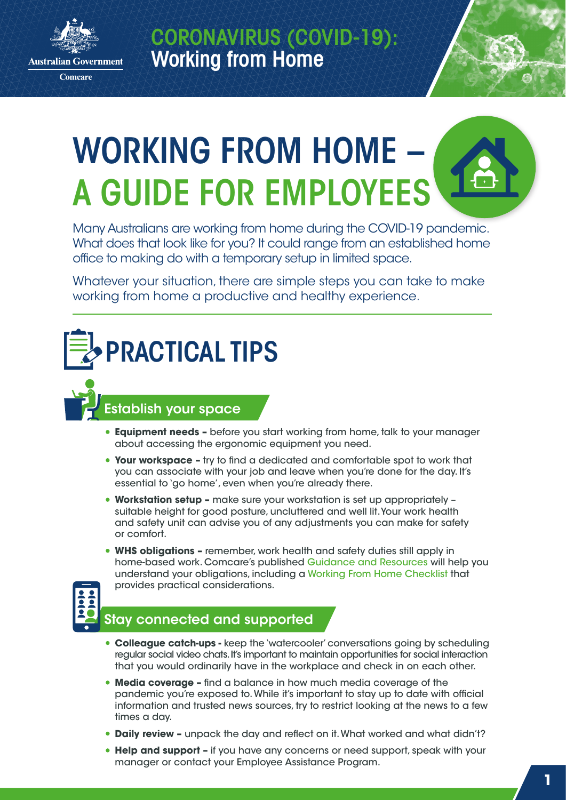

**Comcare** 

CORONAVIRUS (COVID-19): Working from Home



Many Australians are working from home during the COVID-19 pandemic. What does that look like for you? It could range from an established home office to making do with a temporary setup in limited space.

Whatever your situation, there are simple steps you can take to make working from home a productive and healthy experience.

# PRACTICAL TIPS

## Establish your space

- **• Equipment needs** before you start working from home, talk to your manager about accessing the ergonomic equipment you need.
- **• Your workspace –** try to find a dedicated and comfortable spot to work that you can associate with your job and leave when you're done for the day. It's essential to 'go home', even when you're already there.
- **• Workstation setup** make sure your workstation is set up appropriately suitable height for good posture, uncluttered and well lit. Your work health and safety unit can advise you of any adjustments you can make for safety or comfort.
- **• WHS obligations** remember, work health and safety duties still apply in home-based work. Comcare's published [Guidance and Resources w](https://www.comcare.gov.au/safe-healthy-work/prevent-harm/coronavirus)ill help you understand your obligations, including a [Working From Home Checklist](https://www.comcare.gov.au/about/forms-publications/documents/publications/safety/working-from-home-checklist.pdf) that provides practical considerations.



## Stay connected and supported

- **• Colleague catch-ups** keep the 'watercooler' conversations going by scheduling regular social video chats. It's important to maintain opportunities for social interaction that you would ordinarily have in the workplace and check in on each other.
- **• Media coverage** find a balance in how much media coverage of the pandemic you're exposed to. While it's important to stay up to date with official information and trusted news sources, try to restrict looking at the news to a few times a day.
- **• Daily review** unpack the day and reflect on it. What worked and what didn't?
- **• Help and support –** if you have any concerns or need support, speak with your manager or contact your Employee Assistance Program.